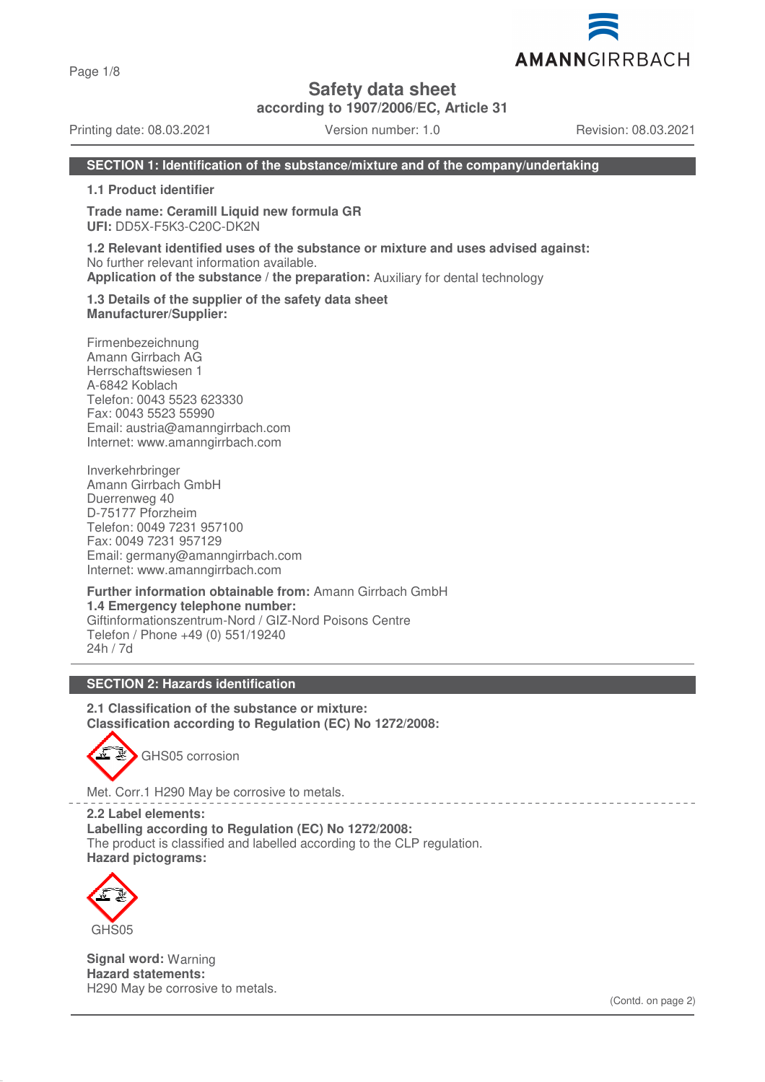Page 1/8

**Safety data sheet**

**according to 1907/2006/EC, Article 31**

Printing date: 08.03.2021 Version number: 1.0 Revision: 08.03.2021

AMANNGIRRBACH

### **SECTION 1: Identification of the substance/mixture and of the company/undertaking**

**1.1 Product identifier**

**Trade name: Ceramill Liquid new formula GR UFI:** DD5X-F5K3-C20C-DK2N

**1.2 Relevant identified uses of the substance or mixture and uses advised against:** No further relevant information available. **Application of the substance / the preparation:** Auxiliary for dental technology

**1.3 Details of the supplier of the safety data sheet Manufacturer/Supplier:**

Firmenbezeichnung Amann Girrbach AG Herrschaftswiesen 1 A-6842 Koblach Telefon: 0043 5523 623330 Fax: 0043 5523 55990 Email: austria@amanngirrbach.com Internet: www.amanngirrbach.com

Inverkehrbringer Amann Girrbach GmbH Duerrenweg 40 D-75177 Pforzheim Telefon: 0049 7231 957100 Fax: 0049 7231 957129 Email: germany@amanngirrbach.com Internet: www.amanngirrbach.com

**Further information obtainable from:** Amann Girrbach GmbH **1.4 Emergency telephone number:** Giftinformationszentrum-Nord / GIZ-Nord Poisons Centre Telefon / Phone +49 (0) 551/19240 24h / 7d

## **SECTION 2: Hazards identification**

**2.1 Classification of the substance or mixture: Classification according to Regulation (EC) No 1272/2008:**



Met. Corr.1 H290 May be corrosive to metals.

**2.2 Label elements: Labelling according to Regulation (EC) No 1272/2008:** The product is classified and labelled according to the CLP regulation. **Hazard pictograms:**



**Signal word:** Warning **Hazard statements:** H290 May be corrosive to metals.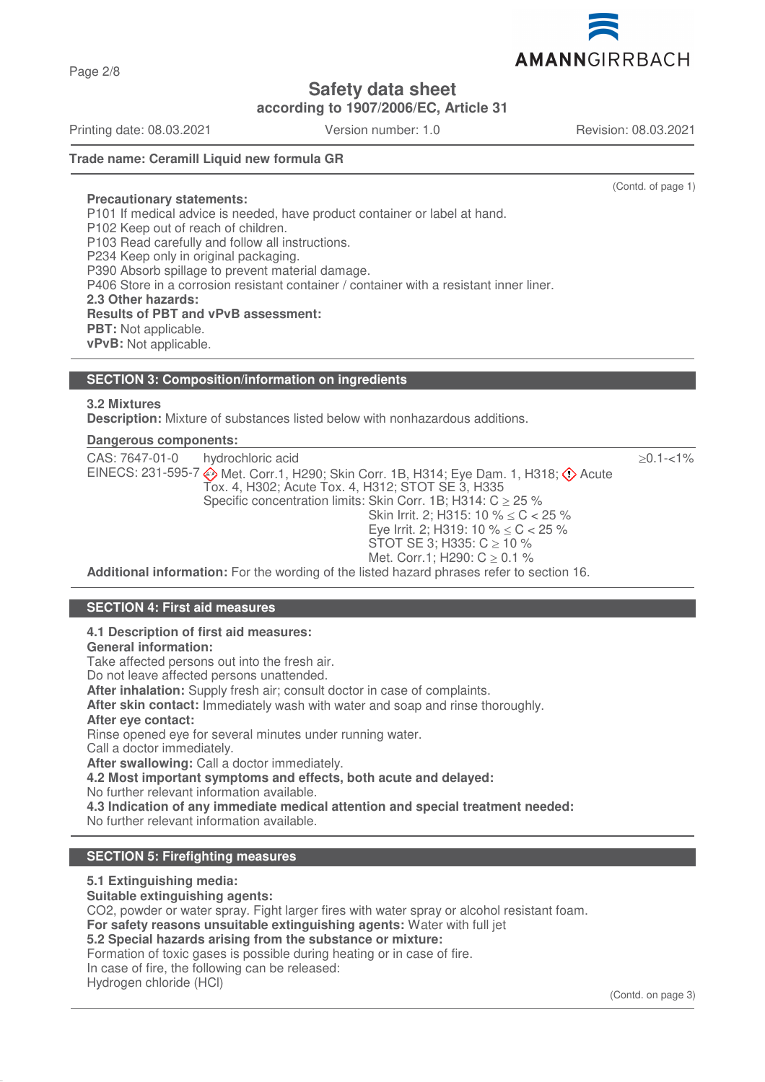AMANNGIRRBACH

# **Safety data sheet**

**according to 1907/2006/EC, Article 31**

Printing date: 08.03.2021 Version number: 1.0 Revision: 08.03.2021

Page 2/8

# **Trade name: Ceramill Liquid new formula GR**

(Contd. of page 1)

**Precautionary statements:** P101 If medical advice is needed, have product container or label at hand. P102 Keep out of reach of children. P103 Read carefully and follow all instructions. P234 Keep only in original packaging. P390 Absorb spillage to prevent material damage. P406 Store in a corrosion resistant container / container with a resistant inner liner. **2.3 Other hazards: Results of PBT and vPvB assessment: PBT:** Not applicable. **vPvB:** Not applicable.

# **SECTION 3: Composition/information on ingredients**

## **3.2 Mixtures**

**Description:** Mixture of substances listed below with nonhazardous additions.

## **Dangerous components:**

| CAS: 7647-01-0<br>hydrochloric acid                                                                                                                   | $>0.1 - 1\%$ |
|-------------------------------------------------------------------------------------------------------------------------------------------------------|--------------|
| EINECS: 231-595-7 Met. Corr.1, H290; Skin Corr. 1B, H314; Eye Dam. 1, H318; $\diamondsuit$ Acute<br>Tox. 4, H302; Acute Tox. 4, H312; STOT SE 3, H335 |              |
| Specific concentration limits: Skin Corr. 1B; H314: $C \ge 25$ %                                                                                      |              |
| Skin Irrit. 2; H315: 10 % $\leq$ C $<$ 25 %                                                                                                           |              |
| Eye Irrit. 2; H319: 10 % $\leq$ C $<$ 25 %                                                                                                            |              |
| STOT SE 3; H335: $C \ge 10 \%$                                                                                                                        |              |
| Met. Corr.1; H290: $C \ge 0.1$ %                                                                                                                      |              |
| Additional information: Ear the werding of the listed hazard phrases refer to section 16                                                              |              |

**Additional information:** For the wording of the listed hazard phrases refer to section 16.

# **SECTION 4: First aid measures**

#### **4.1 Description of first aid measures:**

**General information:**

Take affected persons out into the fresh air.

Do not leave affected persons unattended.

**After inhalation:** Supply fresh air; consult doctor in case of complaints.

**After skin contact:** Immediately wash with water and soap and rinse thoroughly.

**After eye contact:**

Rinse opened eye for several minutes under running water.

Call a doctor immediately. **After swallowing:** Call a doctor immediately.

**4.2 Most important symptoms and effects, both acute and delayed:**

No further relevant information available.

**4.3 Indication of any immediate medical attention and special treatment needed:**

No further relevant information available.

# **SECTION 5: Firefighting measures**

#### **5.1 Extinguishing media:**

**Suitable extinguishing agents:**

CO2, powder or water spray. Fight larger fires with water spray or alcohol resistant foam.

**For safety reasons unsuitable extinguishing agents:** Water with full jet

# **5.2 Special hazards arising from the substance or mixture:**

Formation of toxic gases is possible during heating or in case of fire.

In case of fire, the following can be released: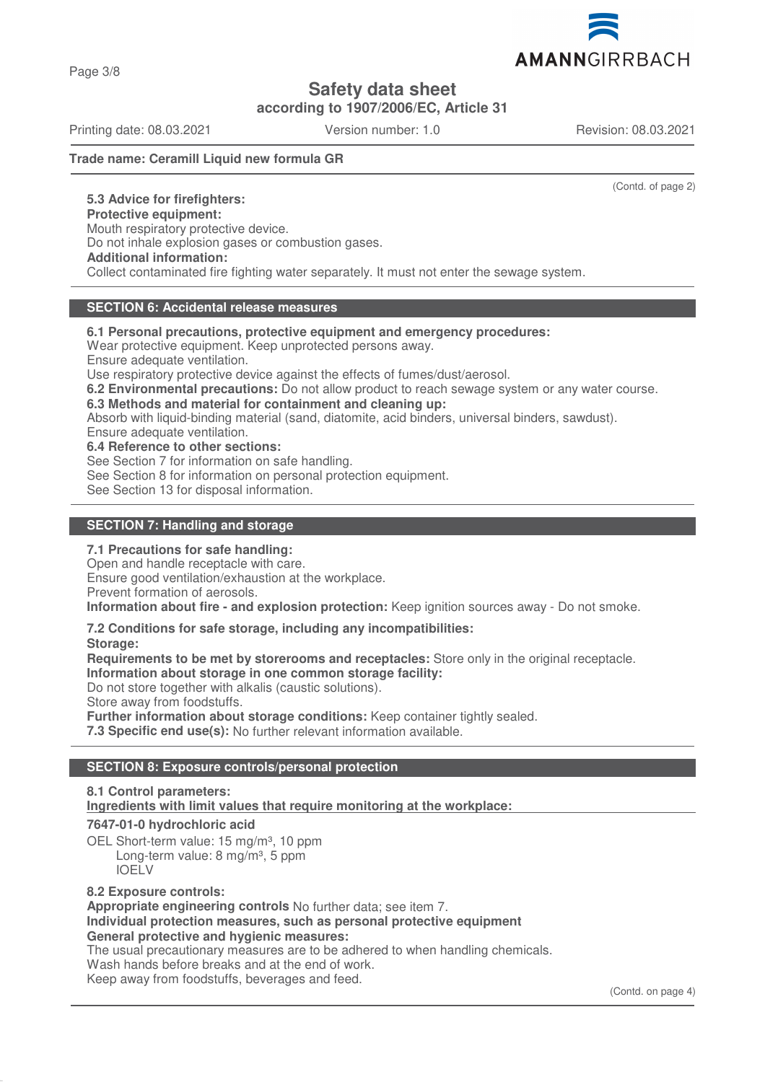Page 3/8

# **Safety data sheet**

**according to 1907/2006/EC, Article 31**

Printing date: 08.03.2021 Version number: 1.0 Revision: 08.03.2021

**Trade name: Ceramill Liquid new formula GR**

(Contd. of page 2)

**5.3 Advice for firefighters: Protective equipment:** Mouth respiratory protective device. Do not inhale explosion gases or combustion gases. **Additional information:** Collect contaminated fire fighting water separately. It must not enter the sewage system.

# **SECTION 6: Accidental release measures**

**6.1 Personal precautions, protective equipment and emergency procedures:**

Wear protective equipment. Keep unprotected persons away.

Ensure adequate ventilation.

Use respiratory protective device against the effects of fumes/dust/aerosol.

**6.2 Environmental precautions:** Do not allow product to reach sewage system or any water course.

**6.3 Methods and material for containment and cleaning up:**

Absorb with liquid-binding material (sand, diatomite, acid binders, universal binders, sawdust).

Ensure adequate ventilation.

**6.4 Reference to other sections:**

See Section 7 for information on safe handling.

See Section 8 for information on personal protection equipment.

See Section 13 for disposal information.

## **SECTION 7: Handling and storage**

#### **7.1 Precautions for safe handling:**

Open and handle receptacle with care.

Ensure good ventilation/exhaustion at the workplace.

Prevent formation of aerosols.

**Information about fire - and explosion protection:** Keep ignition sources away - Do not smoke.

#### **7.2 Conditions for safe storage, including any incompatibilities:**

**Storage:**

**Requirements to be met by storerooms and receptacles:** Store only in the original receptacle.

**Information about storage in one common storage facility:**

Do not store together with alkalis (caustic solutions).

Store away from foodstuffs.

**Further information about storage conditions:** Keep container tightly sealed.

**7.3 Specific end use(s):** No further relevant information available.

# **SECTION 8: Exposure controls/personal protection**

# **8.1 Control parameters: Ingredients with limit values that require monitoring at the workplace:**

# **7647-01-0 hydrochloric acid**

OEL Short-term value: 15 mg/m<sup>3</sup>, 10 ppm Long-term value: 8 mg/m<sup>3</sup>, 5 ppm IOELV

#### **8.2 Exposure controls:**

**Appropriate engineering controls** No further data; see item 7. **Individual protection measures, such as personal protective equipment General protective and hygienic measures:**

The usual precautionary measures are to be adhered to when handling chemicals. Wash hands before breaks and at the end of work. Keep away from foodstuffs, beverages and feed.

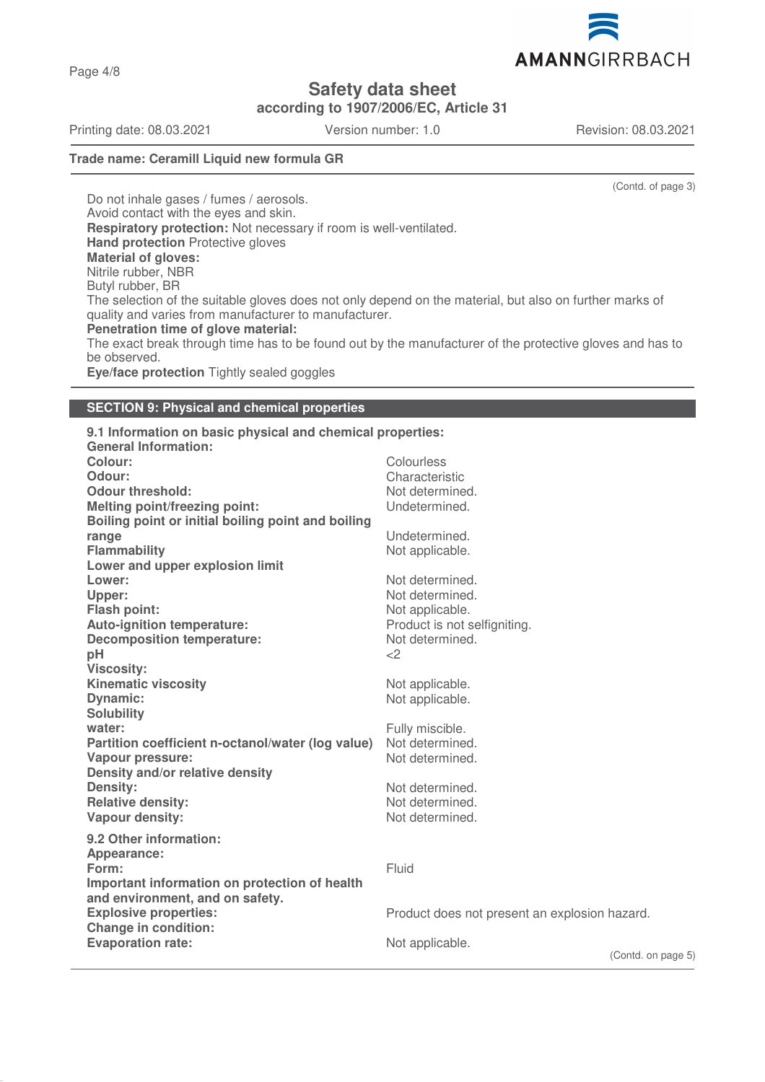AMANNGIRRBACH

**Safety data sheet**

**according to 1907/2006/EC, Article 31**

Printing date: 08.03.2021 Version number: 1.0 Revision: 08.03.2021

Page 4/8

# **Trade name: Ceramill Liquid new formula GR**

(Contd. of page 3)

Do not inhale gases / fumes / aerosols. Avoid contact with the eyes and skin. **Respiratory protection:** Not necessary if room is well-ventilated. **Hand protection** Protective gloves **Material of gloves:** Nitrile rubber, NBR Butyl rubber, BR The selection of the suitable gloves does not only depend on the material, but also on further marks of quality and varies from manufacturer to manufacturer. **Penetration time of glove material:** The exact break through time has to be found out by the manufacturer of the protective gloves and has to be observed. **Eye/face protection** Tightly sealed goggles

# **SECTION 9: Physical and chemical properties**

| 9.1 Information on basic physical and chemical properties:<br><b>General Information:</b> |                                               |
|-------------------------------------------------------------------------------------------|-----------------------------------------------|
| Colour:                                                                                   | Colourless                                    |
| Odour:                                                                                    | Characteristic                                |
| <b>Odour threshold:</b>                                                                   | Not determined.                               |
| <b>Melting point/freezing point:</b>                                                      | Undetermined.                                 |
| Boiling point or initial boiling point and boiling                                        |                                               |
| range                                                                                     | Undetermined.                                 |
| <b>Flammability</b>                                                                       | Not applicable.                               |
| Lower and upper explosion limit                                                           |                                               |
| Lower:                                                                                    | Not determined.                               |
| Upper:                                                                                    | Not determined.                               |
| <b>Flash point:</b>                                                                       | Not applicable.                               |
| Auto-ignition temperature:                                                                | Product is not selfigniting.                  |
| <b>Decomposition temperature:</b>                                                         | Not determined.                               |
| pH                                                                                        | <                                             |
| <b>Viscosity:</b>                                                                         |                                               |
| <b>Kinematic viscosity</b>                                                                | Not applicable.                               |
| <b>Dynamic:</b>                                                                           | Not applicable.                               |
| <b>Solubility</b>                                                                         |                                               |
| water:                                                                                    | Fully miscible.                               |
| Partition coefficient n-octanol/water (log value)                                         | Not determined.                               |
| Vapour pressure:                                                                          | Not determined.                               |
| Density and/or relative density                                                           |                                               |
| Density:                                                                                  | Not determined.                               |
| <b>Relative density:</b>                                                                  | Not determined.                               |
| Vapour density:                                                                           | Not determined.                               |
| 9.2 Other information:                                                                    |                                               |
| Appearance:                                                                               |                                               |
| Form:                                                                                     | Fluid                                         |
| Important information on protection of health                                             |                                               |
| and environment, and on safety.                                                           |                                               |
| <b>Explosive properties:</b>                                                              | Product does not present an explosion hazard. |
| <b>Change in condition:</b>                                                               |                                               |
| <b>Evaporation rate:</b>                                                                  | Not applicable.                               |
|                                                                                           | (Contd c)                                     |

(Contd. on page 5)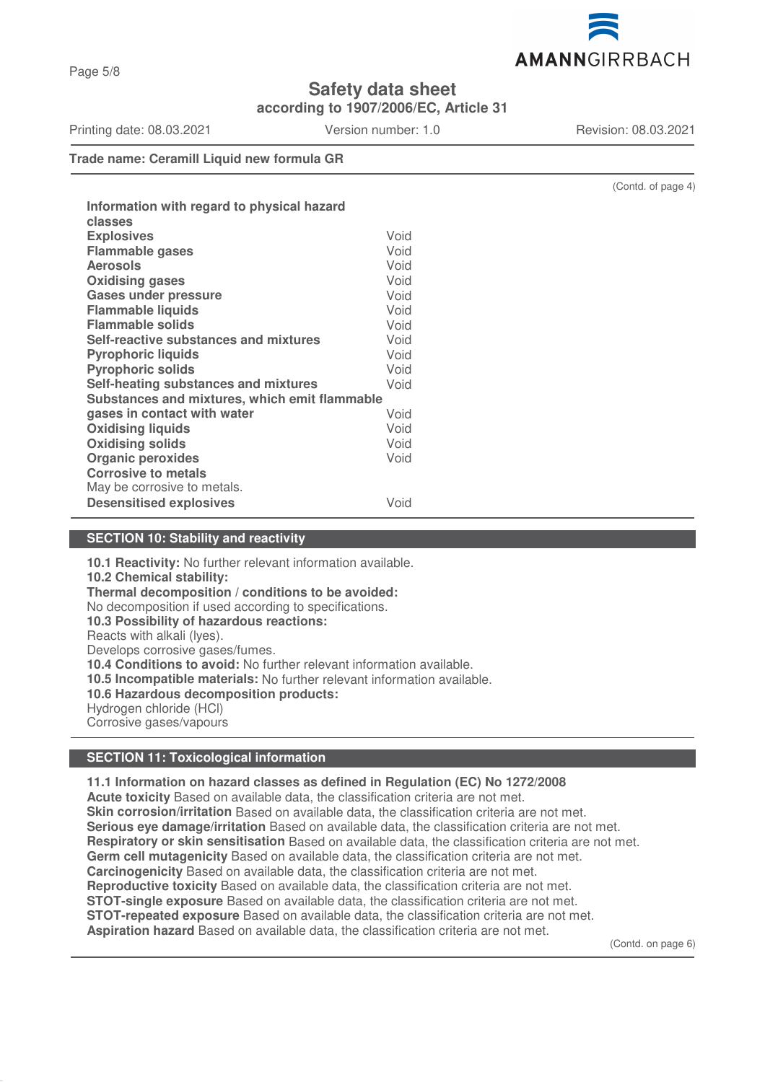

**according to 1907/2006/EC, Article 31**

Printing date: 08.03.2021 Version number: 1.0 Revision: 08.03.2021

**Trade name: Ceramill Liquid new formula GR**

| Information with regard to physical hazard<br>classes |      |
|-------------------------------------------------------|------|
| <b>Explosives</b>                                     | Void |
| <b>Flammable gases</b>                                | Void |
| <b>Aerosols</b>                                       | Void |
| <b>Oxidising gases</b>                                | Void |
| <b>Gases under pressure</b>                           | Void |
| <b>Flammable liquids</b>                              | Void |
| <b>Flammable solids</b>                               | Void |
| Self-reactive substances and mixtures                 | Void |
| <b>Pyrophoric liquids</b>                             | Void |
| <b>Pyrophoric solids</b>                              | Void |
| Self-heating substances and mixtures                  | Void |
| Substances and mixtures, which emit flammable         |      |
| gases in contact with water                           | Void |
| <b>Oxidising liquids</b>                              | Void |
| <b>Oxidising solids</b>                               | Void |
| <b>Organic peroxides</b>                              | Void |
| <b>Corrosive to metals</b>                            |      |
| May be corrosive to metals.                           |      |
| <b>Desensitised explosives</b>                        | Void |
|                                                       |      |

# **SECTION 10: Stability and reactivity**

**10.1 Reactivity:** No further relevant information available. **10.2 Chemical stability: Thermal decomposition / conditions to be avoided:** No decomposition if used according to specifications. **10.3 Possibility of hazardous reactions:** Reacts with alkali (lyes). Develops corrosive gases/fumes. **10.4 Conditions to avoid:** No further relevant information available. **10.5 Incompatible materials:** No further relevant information available. **10.6 Hazardous decomposition products:** Hydrogen chloride (HCl) Corrosive gases/vapours

# **SECTION 11: Toxicological information**

**11.1 Information on hazard classes as defined in Regulation (EC) No 1272/2008 Acute toxicity** Based on available data, the classification criteria are not met. **Skin corrosion/irritation** Based on available data, the classification criteria are not met. **Serious eye damage/irritation** Based on available data, the classification criteria are not met. **Respiratory or skin sensitisation** Based on available data, the classification criteria are not met. **Germ cell mutagenicity** Based on available data, the classification criteria are not met. **Carcinogenicity** Based on available data, the classification criteria are not met. **Reproductive toxicity** Based on available data, the classification criteria are not met. **STOT-single exposure** Based on available data, the classification criteria are not met. **STOT-repeated exposure** Based on available data, the classification criteria are not met. **Aspiration hazard** Based on available data, the classification criteria are not met.

(Contd. on page 6)

(Contd. of page 4)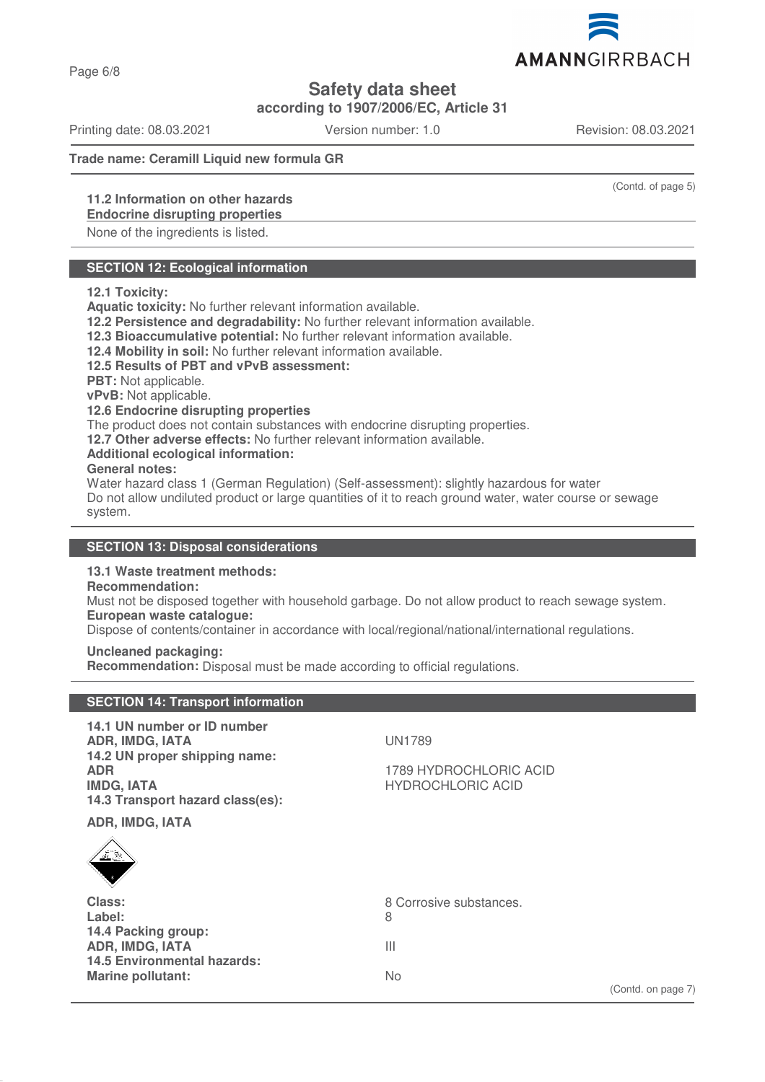

**according to 1907/2006/EC, Article 31**

Printing date: 08.03.2021 Version number: 1.0 Revision: 08.03.2021

### **Trade name: Ceramill Liquid new formula GR**

# **11.2 Information on other hazards**

# **Endocrine disrupting properties**

None of the ingredients is listed.

# **SECTION 12: Ecological information**

#### **12.1 Toxicity:**

**Aquatic toxicity:** No further relevant information available.

**12.2 Persistence and degradability:** No further relevant information available.

**12.3 Bioaccumulative potential:** No further relevant information available.

**12.4 Mobility in soil:** No further relevant information available.

#### **12.5 Results of PBT and vPvB assessment:**

**PBT:** Not applicable.

**vPvB:** Not applicable.

#### **12.6 Endocrine disrupting properties**

The product does not contain substances with endocrine disrupting properties.

**12.7 Other adverse effects:** No further relevant information available.

#### **Additional ecological information:**

#### **General notes:**

Water hazard class 1 (German Regulation) (Self-assessment): slightly hazardous for water Do not allow undiluted product or large quantities of it to reach ground water, water course or sewage system.

# **SECTION 13: Disposal considerations**

# **13.1 Waste treatment methods:**

**SECTION 14: Transport information**

# **Recommendation:**

Must not be disposed together with household garbage. Do not allow product to reach sewage system. **European waste catalogue:**

Dispose of contents/container in accordance with local/regional/national/international regulations.

#### **Uncleaned packaging:**

**Recommendation:** Disposal must be made according to official regulations.

| 14.1 UN number or ID number<br>ADR, IMDG, IATA<br>14.2 UN proper shipping name:<br><b>ADR</b><br><b>IMDG, IATA</b><br>14.3 Transport hazard class(es):<br><b>ADR, IMDG, IATA</b><br>$\frac{1}{\sqrt{2}}$ | <b>UN1789</b><br>1789 HYDROCHLORIC ACID<br><b>HYDROCHLORIC ACID</b>  |
|----------------------------------------------------------------------------------------------------------------------------------------------------------------------------------------------------------|----------------------------------------------------------------------|
| Class:<br>Label:<br>14.4 Packing group:<br>ADR, IMDG, IATA<br><b>14.5 Environmental hazards:</b><br><b>Marine pollutant:</b>                                                                             | 8 Corrosive substances.<br>8<br>Ш<br><b>No</b><br>(Contd. on page 7) |

(Contd. of page 5)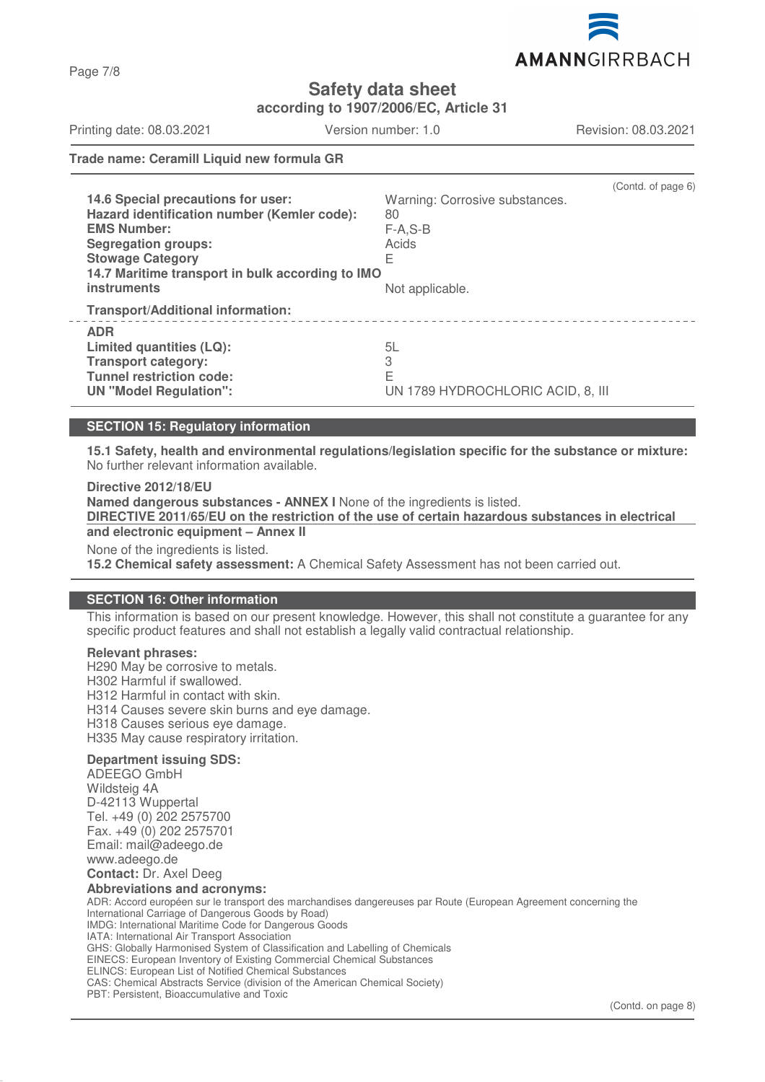

**according to 1907/2006/EC, Article 31**

Printing date: 08.03.2021 Version number: 1.0 Revision: 08.03.2021

Page 7/8

### **Trade name: Ceramill Liquid new formula GR**

| 14.6 Special precautions for user:<br>Hazard identification number (Kemler code):<br><b>EMS Number:</b><br><b>Segregation groups:</b><br><b>Stowage Category</b><br>14.7 Maritime transport in bulk according to IMO<br><b>instruments</b> | (Contd. of page 6)<br>Warning: Corrosive substances.<br>80<br>$F-A.S-B$<br>Acids<br>E<br>Not applicable. |
|--------------------------------------------------------------------------------------------------------------------------------------------------------------------------------------------------------------------------------------------|----------------------------------------------------------------------------------------------------------|
| <b>Transport/Additional information:</b>                                                                                                                                                                                                   |                                                                                                          |
| <b>ADR</b><br>Limited quantities (LQ):<br><b>Transport category:</b><br><b>Tunnel restriction code:</b><br><b>UN "Model Regulation":</b>                                                                                                   | 5L<br>3<br>E<br>UN 1789 HYDROCHLORIC ACID, 8, III                                                        |

#### **SECTION 15: Regulatory information**

**15.1 Safety, health and environmental regulations/legislation specific for the substance or mixture:** No further relevant information available.

**Directive 2012/18/EU Named dangerous substances - ANNEX I** None of the ingredients is listed. **DIRECTIVE 2011/65/EU on the restriction of the use of certain hazardous substances in electrical and electronic equipment – Annex II** None of the ingredients is listed. **15.2 Chemical safety assessment:** A Chemical Safety Assessment has not been carried out.

#### **SECTION 16: Other information**

This information is based on our present knowledge. However, this shall not constitute a guarantee for any specific product features and shall not establish a legally valid contractual relationship.

#### **Relevant phrases:**

H290 May be corrosive to metals. H302 Harmful if swallowed. H312 Harmful in contact with skin. H314 Causes severe skin burns and eye damage. H318 Causes serious eye damage. H335 May cause respiratory irritation.

#### **Department issuing SDS:**

ADEEGO GmbH Wildsteig 4A D-42113 Wuppertal Tel. +49 (0) 202 2575700 Fax. +49 (0) 202 2575701 Email: mail@adeego.de www.adeego.de

#### **Contact:** Dr. Axel Deeg **Abbreviations and acronyms:**

ADR: Accord européen sur le transport des marchandises dangereuses par Route (European Agreement concerning the International Carriage of Dangerous Goods by Road) IMDG: International Maritime Code for Dangerous Goods IATA: International Air Transport Association GHS: Globally Harmonised System of Classification and Labelling of Chemicals EINECS: European Inventory of Existing Commercial Chemical Substances ELINCS: European List of Notified Chemical Substances CAS: Chemical Abstracts Service (division of the American Chemical Society) PBT: Persistent, Bioaccumulative and Toxic